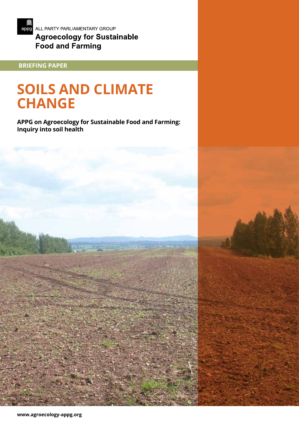

**Food and Farming** 

# **BRIEFING PAPER**

# **SOILS AND CLIMATE CHANGE**

**APPG on Agroecology for Sustainable Food and Farming: Inquiry into soil health**

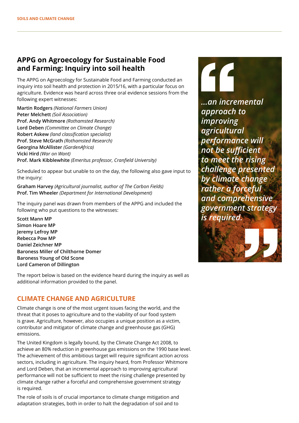## **APPG on Agroecology for Sustainable Food and Farming: Inquiry into soil health**

The APPG on Agroecology for Sustainable Food and Farming conducted an inquiry into soil health and protection in 2015/16, with a particular focus on agriculture. Evidence was heard across three oral evidence sessions from the following expert witnesses:

**Martin Rodgers** *(National Farmers Union)* **Peter Melchett** *(Soil Association)* **Prof. Andy Whitmore** *(Rothamsted Research)* **Lord Deben** *(Committee on Climate Change)* **Robert Askew** *(land classification specialist)* **Prof. Steve McGrath** *(Rothamsted Research)* **Georgina McAllister** *(GardenAfrica)* **Vicki Hird** *(War on Want)* **Prof. Mark Kibblewhite** *(Emeritus professor, Cranfield University)*

Scheduled to appear but unable to on the day, the following also gave input to the inquiry:

**Graham Harvey** *(Agricultural journalist, author of The Carbon Fields)* **Prof. Tim Wheeler** *(Department for International Development)*

The inquiry panel was drawn from members of the APPG and included the following who put questions to the witnesses:

**Scott Mann MP Simon Hoare MP Jeremy Lefroy MP Rebecca Pow MP Daniel Zeichner MP Baroness Miller of Chilthorne Domer Baroness Young of Old Scone Lord Cameron of Dillington**

The report below is based on the evidence heard during the inquiry as well as additional information provided to the panel.

### **CLIMATE CHANGE AND AGRICULTURE**

Climate change is one of the most urgent issues facing the world, and the threat that it poses to agriculture and to the viability of our food system is grave. Agriculture, however, also occupies a unique position as a victim, contributor and mitigator of climate change and greenhouse gas (GHG) emissions.

The United Kingdom is legally bound, by the Climate Change Act 2008, to achieve an 80% reduction in greenhouse gas emissions on the 1990 base level. The achievement of this ambitious target will require significant action across sectors, including in agriculture. The inquiry heard, from Professor Whitmore and Lord Deben, that an incremental approach to improving agricultural performance will not be sufficient to meet the rising challenge presented by climate change rather a forceful and comprehensive government strategy is required.

The role of soils is of crucial importance to climate change mitigation and adaptation strategies, both in order to halt the degradation of soil and to

*...an incremental approach to improving agricultural performance will not be sufficient to meet the rising challenge presented by climate change rather a forceful and comprehensive government strategy is required.*

46

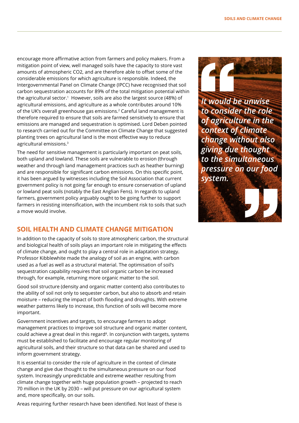encourage more affirmative action from farmers and policy makers. From a mitigation point of view, well managed soils have the capacity to store vast amounts of atmospheric CO2, and are therefore able to offset some of the considerable emissions for which agriculture is responsible. Indeed, the Intergovernmental Panel on Climate Change (IPCC) have recognised that soil carbon sequestration accounts for 89% of the total mitigation potential within the agricultural sector.<sup>1</sup> However, soils are also the largest source (48%) of agricultural emissions, and agriculture as a whole contributes around 10% of the UK's overall greenhouse gas emissions.2 Careful land management is therefore required to ensure that soils are farmed sensitively to ensure that emissions are managed and sequestration is optimised. Lord Deben pointed to research carried out for the Committee on Climate Change that suggested planting trees on agricultural land is the most effective way to reduce agricultural emissions.3

The need for sensitive management is particularly important on peat soils, both upland and lowland. These soils are vulnerable to erosion (through weather and through land management practices such as heather burning) and are responsible for significant carbon emissions. On this specific point, it has been argued by witnesses including the Soil Association that current government policy is not going far enough to ensure conservation of upland or lowland peat soils (notably the East Anglian Fens). In regards to upland farmers, government policy arguably ought to be going further to support farmers in resisting intensification, with the incumbent risk to soils that such a move would involve.

### **SOIL HEALTH AND CLIMATE CHANGE MITIGATION**

In addition to the capacity of soils to store atmospheric carbon, the structural and biological health of soils plays an important role in mitigating the effects of climate change, and ought to play a central role in adaptation strategy. Professor Kibblewhite made the analogy of soil as an engine, with carbon used as a fuel as well as a structural material. The optimisation of soil's sequestration capability requires that soil organic carbon be increased through, for example, returning more organic matter to the soil.

Good soil structure (density and organic matter content) also contributes to the ability of soil not only to sequester carbon, but also to absorb and retain moisture – reducing the impact of both flooding and droughts. With extreme weather patterns likely to increase, this function of soils will become more important.

Government incentives and targets, to encourage farmers to adopt management practices to improve soil structure and organic matter content, could achieve a great deal in this regard<sup>4</sup>. In conjunction with targets, systems must be established to facilitate and encourage regular monitoring of agricultural soils, and their structure so that data can be shared and used to inform government strategy.

It is essential to consider the role of agriculture in the context of climate change and give due thought to the simultaneous pressure on our food system. Increasingly unpredictable and extreme weather resulting from climate change together with huge population growth – projected to reach 70 million in the UK by 2030 – will put pressure on our agricultural system and, more specifically, on our soils.

Areas requiring further research have been identified. Not least of these is



*It would be unwise to consider the role of agriculture in the context of climate change without also giving due thought to the simultaneous pressure on our food system.*